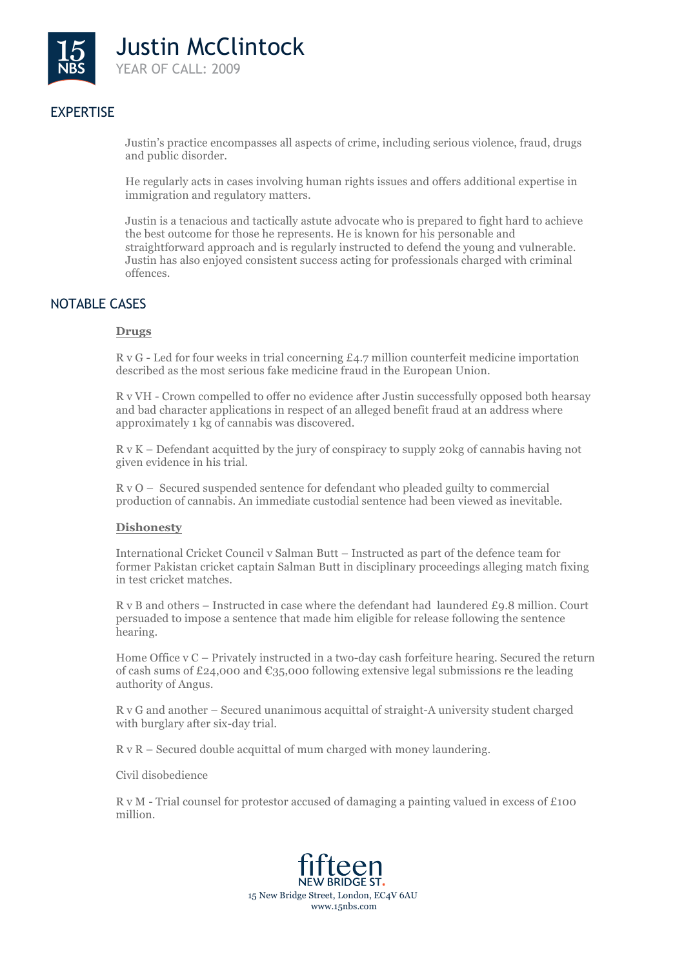

# EXPERTISE

Justin's practice encompasses all aspects of crime, including serious violence, fraud, drugs and public disorder.

He regularly acts in cases involving human rights issues and offers additional expertise in immigration and regulatory matters.

Justin is a tenacious and tactically astute advocate who is prepared to fight hard to achieve the best outcome for those he represents. He is known for his personable and straightforward approach and is regularly instructed to defend the young and vulnerable. Justin has also enjoyed consistent success acting for professionals charged with criminal offences.

# NOTABLE CASES

## **Drugs**

 $R$  v G - Led for four weeks in trial concerning  $E_4$ .7 million counterfeit medicine importation described as the most serious fake medicine fraud in the European Union.

R v VH - Crown compelled to offer no evidence after Justin successfully opposed both hearsay and bad character applications in respect of an alleged benefit fraud at an address where approximately 1 kg of cannabis was discovered.

R v K – Defendant acquitted by the jury of conspiracy to supply 20kg of cannabis having not given evidence in his trial.

R v O – Secured suspended sentence for defendant who pleaded guilty to commercial production of cannabis. An immediate custodial sentence had been viewed as inevitable.

#### **Dishonesty**

International Cricket Council v Salman Butt – Instructed as part of the defence team for former Pakistan cricket captain Salman Butt in disciplinary proceedings alleging match fixing in test cricket matches.

R v B and others – Instructed in case where the defendant had laundered £9.8 million. Court persuaded to impose a sentence that made him eligible for release following the sentence hearing.

Home Office v C – Privately instructed in a two-day cash forfeiture hearing. Secured the return of cash sums of £24,000 and  $\epsilon_{35,000}$  following extensive legal submissions re the leading authority of Angus.

R v G and another – Secured unanimous acquittal of straight-A university student charged with burglary after six-day trial.

R v R – Secured double acquittal of mum charged with money laundering.

Civil disobedience

R v M - Trial counsel for protestor accused of damaging a painting valued in excess of £100 million.

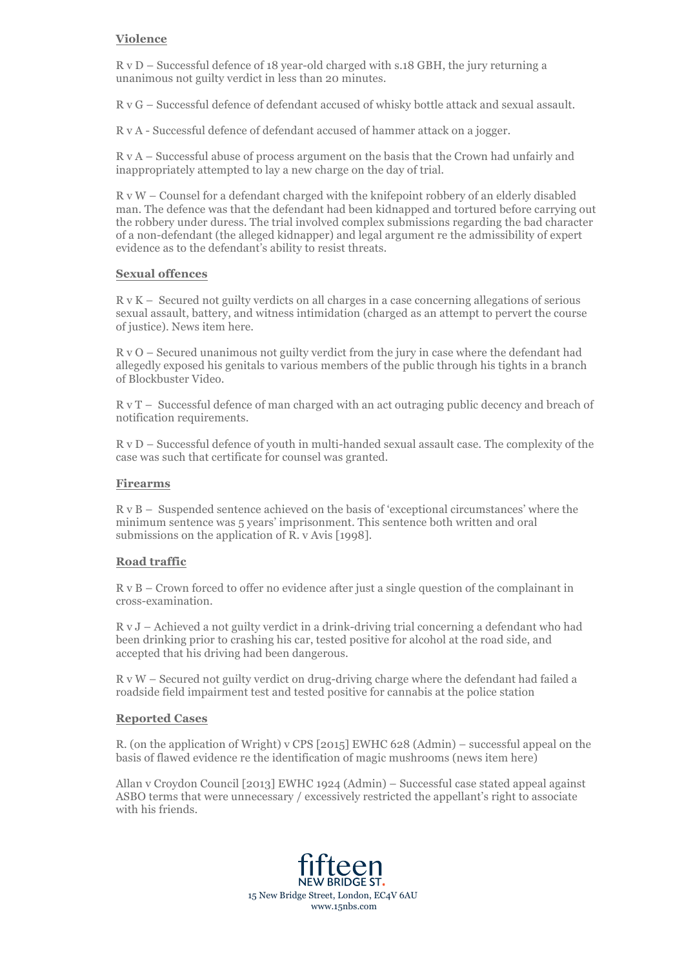## **Violence**

R v D – Successful defence of 18 year-old charged with s.18 GBH, the jury returning a unanimous not guilty verdict in less than 20 minutes.

R v G – Successful defence of defendant accused of whisky bottle attack and sexual assault.

R v A - Successful defence of defendant accused of hammer attack on a jogger.

R v A – Successful abuse of process argument on the basis that the Crown had unfairly and inappropriately attempted to lay a new charge on the day of trial.

R v W – Counsel for a defendant charged with the knifepoint robbery of an elderly disabled man. The defence was that the defendant had been kidnapped and tortured before carrying out the robbery under duress. The trial involved complex submissions regarding the bad character of a non-defendant (the alleged kidnapper) and legal argument re the admissibility of expert evidence as to the defendant's ability to resist threats.

## **Sexual offences**

R v K – Secured not guilty verdicts on all charges in a case concerning allegations of serious sexual assault, battery, and witness intimidation (charged as an attempt to pervert the course of justice). News item here.

R v O – Secured unanimous not guilty verdict from the jury in case where the defendant had allegedly exposed his genitals to various members of the public through his tights in a branch of Blockbuster Video.

R v T – Successful defence of man charged with an act outraging public decency and breach of notification requirements.

R v D – Successful defence of youth in multi-handed sexual assault case. The complexity of the case was such that certificate for counsel was granted.

#### **Firearms**

R v B – Suspended sentence achieved on the basis of 'exceptional circumstances' where the minimum sentence was 5 years' imprisonment. This sentence both written and oral submissions on the application of R. v Avis [1998].

#### **Road traffic**

R v B – Crown forced to offer no evidence after just a single question of the complainant in cross-examination.

R v J – Achieved a not guilty verdict in a drink-driving trial concerning a defendant who had been drinking prior to crashing his car, tested positive for alcohol at the road side, and accepted that his driving had been dangerous.

R v W – Secured not guilty verdict on drug-driving charge where the defendant had failed a roadside field impairment test and tested positive for cannabis at the police station

#### **Reported Cases**

R. (on the application of Wright) v CPS [2015] EWHC 628 (Admin) – successful appeal on the basis of flawed evidence re the identification of magic mushrooms (news item here)

Allan v Croydon Council [2013] EWHC 1924 (Admin) – Successful case stated appeal against ASBO terms that were unnecessary / excessively restricted the appellant's right to associate with his friends.